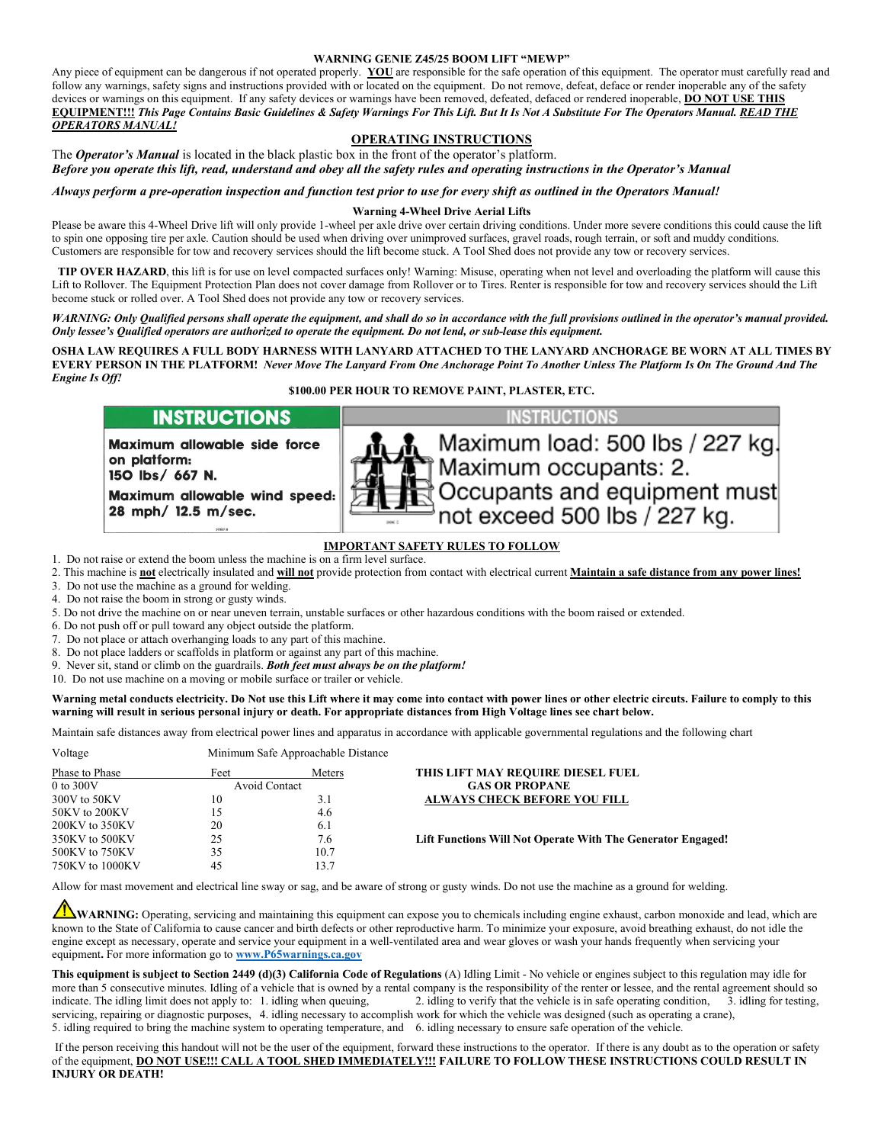#### **WARNING GENIE Z45/25 BOOM LIFT "MEWP"**

Any piece of equipment can be dangerous if not operated properly. **YOU** are responsible for the safe operation of this equipment. The operator must carefully read and follow any warnings, safety signs and instructions provided with or located on the equipment. Do not remove, defeat, deface or render inoperable any of the safety devices or warnings on this equipment. If any safety devices or warnings have been removed, defeated, defaced or rendered inoperable, **DO NOT USE THIS EQUIPMENT!!!** *This Page Contains Basic Guidelines & Safety Warnings For This Lift. But It Is Not A Substitute For The Operators Manual. READ THE OPERATORS MANUAL!*

## **OPERATING INSTRUCTIONS**

The *Operator's Manual* is located in the black plastic box in the front of the operator's platform. *Before you operate this lift, read, understand and obey all the safety rules and operating instructions in the Operator's Manual*

*Always perform a pre-operation inspection and function test prior to use for every shift as outlined in the Operators Manual!*

#### **Warning 4-Wheel Drive Aerial Lifts**

Please be aware this 4-Wheel Drive lift will only provide 1-wheel per axle drive over certain driving conditions. Under more severe conditions this could cause the lift to spin one opposing tire per axle. Caution should be used when driving over unimproved surfaces, gravel roads, rough terrain, or soft and muddy conditions. Customers are responsible for tow and recovery services should the lift become stuck. A Tool Shed does not provide any tow or recovery services.

 **TIP OVER HAZARD**, this lift is for use on level compacted surfaces only! Warning: Misuse, operating when not level and overloading the platform will cause this Lift to Rollover. The Equipment Protection Plan does not cover damage from Rollover or to Tires. Renter is responsible for tow and recovery services should the Lift become stuck or rolled over. A Tool Shed does not provide any tow or recovery services.

## *WARNING: Only Qualified persons shall operate the equipment, and shall do so in accordance with the full provisions outlined in the operator's manual provided. Only lessee's Qualified operators are authorized to operate the equipment. Do not lend, or sub-lease this equipment.*

**OSHA LAW REQUIRES A FULL BODY HARNESS WITH LANYARD ATTACHED TO THE LANYARD ANCHORAGE BE WORN AT ALL TIMES BY EVERY PERSON IN THE PLATFORM!** *Never Move The Lanyard From One Anchorage Point To Another Unless The Platform Is On The Ground And The Engine Is Off!*

## **\$100.00 PER HOUR TO REMOVE PAINT, PLASTER, ETC.**

# **INSTRUCTIONS**

Maximum allowable side force on platform: 150 lbs/ 667 N.

Maximum allowable wind speed: 28 mph/ 12.5 m/sec.

Maximum load: 500 lbs / 227 kg. Maximum occupants: 2. Occupants and equipment must not exceed 500 lbs / 227 kg.

**INSTRUCTIONS** 

## **IMPORTANT SAFETY RULES TO FOLLOW**

- 1. Do not raise or extend the boom unless the machine is on a firm level surface.
- 2. This machine is **not** electrically insulated and **will not** provide protection from contact with electrical current **Maintain a safe distance from any power lines!**
- 3. Do not use the machine as a ground for welding.
- 4. Do not raise the boom in strong or gusty winds.
- 5. Do not drive the machine on or near uneven terrain, unstable surfaces or other hazardous conditions with the boom raised or extended.
- 6. Do not push off or pull toward any object outside the platform.
- 7. Do not place or attach overhanging loads to any part of this machine.
- 8. Do not place ladders or scaffolds in platform or against any part of this machine.
- 9. Never sit, stand or climb on the guardrails. *Both feet must always be on the platform!*
- 10. Do not use machine on a moving or mobile surface or trailer or vehicle.

### **Warning metal conducts electricity. Do Not use this Lift where it may come into contact with power lines or other electric circuts. Failure to comply to this warning will result in serious personal injury or death. For appropriate distances from High Voltage lines see chart below.**

Maintain safe distances away from electrical power lines and apparatus in accordance with applicable governmental regulations and the following chart

| Minimum Safe Approachable Distance |                                                             |  |
|------------------------------------|-------------------------------------------------------------|--|
| Meters                             | THIS LIFT MAY REQUIRE DIESEL FUEL                           |  |
|                                    | <b>GAS OR PROPANE</b>                                       |  |
| 3.1                                | <b>ALWAYS CHECK BEFORE YOU FILL</b>                         |  |
| 4.6                                |                                                             |  |
| 6.1                                |                                                             |  |
| 7.6                                | Lift Functions Will Not Operate With The Generator Engaged! |  |
| 10.7                               |                                                             |  |
| 13.7                               |                                                             |  |
|                                    | Avoid Contact                                               |  |

Allow for mast movement and electrical line sway or sag, and be aware of strong or gusty winds. Do not use the machine as a ground for welding.

**WARNING:** Operating, servicing and maintaining this equipment can expose you to chemicals including engine exhaust, carbon monoxide and lead, which are known to the State of California to cause cancer and birth defects or other reproductive harm. To minimize your exposure, avoid breathing exhaust, do not idle the engine except as necessary, operate and service your equipment in a well-ventilated area and wear gloves or wash your hands frequently when servicing your equipment**.** For more information go to **[www.P65warnings.ca.gov](http://www.p65warnings.ca.gov/)**

**This equipment is subject to Section 2449 (d)(3) California Code of Regulations** (A) Idling Limit - No vehicle or engines subject to this regulation may idle for more than 5 consecutive minutes. Idling of a vehicle that is owned by a rental company is the responsibility of the renter or lessee, and the rental agreement should so indicate. The idling limit does not apply to: 1. idling when queuing, 2. idling to verify that the vehicle is in safe operating condition, 3. idling for testing, servicing, repairing or diagnostic purposes, 4. idling necessary to accomplish work for which the vehicle was designed (such as operating a crane), 5. idling required to bring the machine system to operating temperature, and 6. idling necessary to ensure safe operation of the vehicle.

If the person receiving this handout will not be the user of the equipment, forward these instructions to the operator. If there is any doubt as to the operation or safety of the equipment, **DO NOT USE!!! CALL A TOOL SHED IMMEDIATELY!!! FAILURE TO FOLLOW THESE INSTRUCTIONS COULD RESULT IN INJURY OR DEATH!**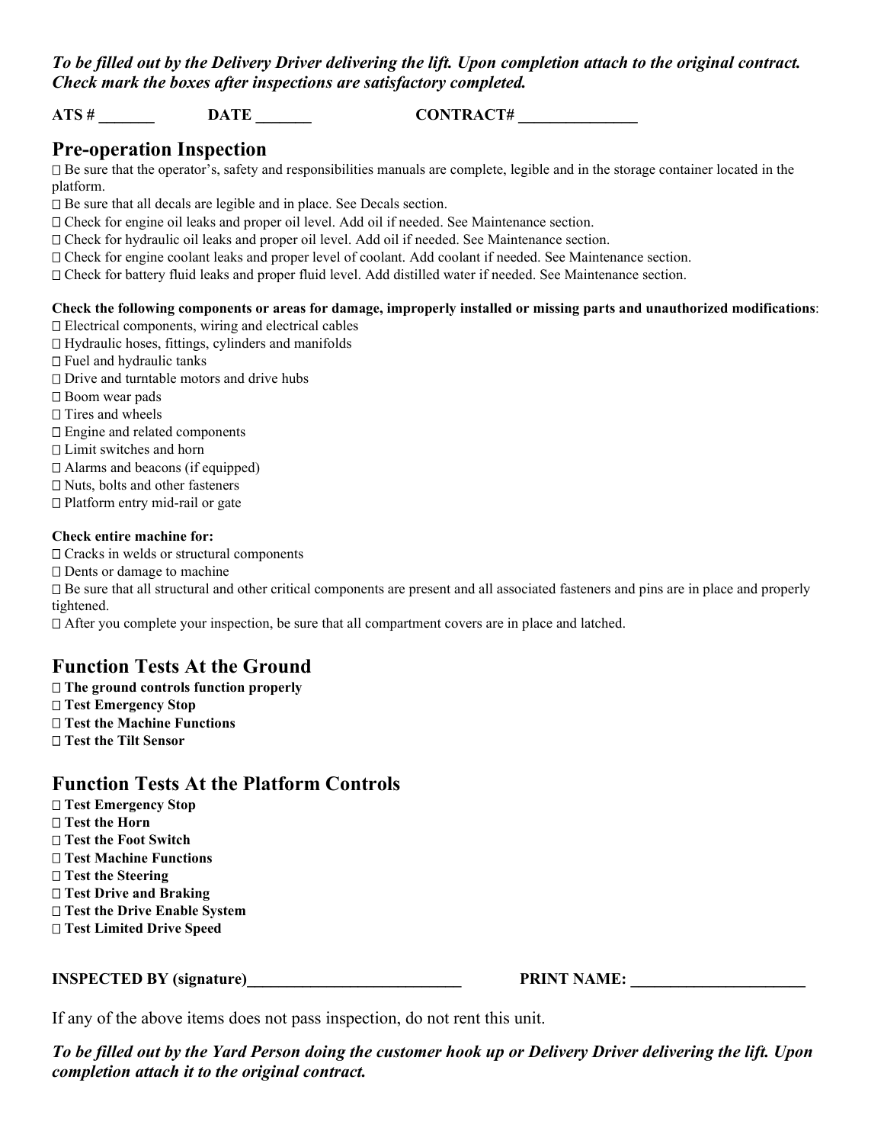## *To be filled out by the Delivery Driver delivering the lift. Upon completion attach to the original contract. Check mark the boxes after inspections are satisfactory completed.*

**ATS # \_\_\_\_\_\_\_ DATE \_\_\_\_\_\_\_ CONTRACT# \_\_\_\_\_\_\_\_\_\_\_\_\_\_\_**

# **Pre-operation Inspection**

 $\Box$  Be sure that the operator's, safety and responsibilities manuals are complete, legible and in the storage container located in the platform.

 $\square$  Be sure that all decals are legible and in place. See Decals section.

 $\Box$  Check for engine oil leaks and proper oil level. Add oil if needed. See Maintenance section.

Check for hydraulic oil leaks and proper oil level. Add oil if needed. See Maintenance section.

Check for engine coolant leaks and proper level of coolant. Add coolant if needed. See Maintenance section.

Check for battery fluid leaks and proper fluid level. Add distilled water if needed. See Maintenance section.

## **Check the following components or areas for damage, improperly installed or missing parts and unauthorized modifications**: Electrical components, wiring and electrical cables

 $\Box$  Hydraulic hoses, fittings, cylinders and manifolds

- $\Box$  Fuel and hydraulic tanks
- $\Box$  <br> Drive and turntable motors and drive hubs
- □ Boom wear pads

 $\Box$  Tires and wheels

- □ Engine and related components
- $\Box$  Limit switches and horn

 $\Box$  Alarms and beacons (if equipped)

□ Nuts, bolts and other fasteners

□ Platform entry mid-rail or gate

## **Check entire machine for:**

 $\Box$  Cracks in welds or structural components  $\Box$  Dents or damage to machine Be sure that all structural and other critical components are present and all associated fasteners and pins are in place and properly tightened.  $\Box$  After you complete your inspection, be sure that all compartment covers are in place and latched.

# **Function Tests At the Ground**

 **The ground controls function properly Test Emergency Stop Test the Machine Functions Test the Tilt Sensor**

## **Function Tests At the Platform Controls**

 **Test Emergency Stop Test the Horn Test the Foot Switch Test Machine Functions Test the Steering Test Drive and Braking Test the Drive Enable System Test Limited Drive Speed**

**INSPECTED BY (signature)\_\_\_\_\_\_\_\_\_\_\_\_\_\_\_\_\_\_\_\_\_\_\_\_\_\_\_ PRINT NAME: \_\_\_\_\_\_\_\_\_\_\_\_\_\_\_\_\_\_\_\_\_\_**

If any of the above items does not pass inspection, do not rent this unit.

*To be filled out by the Yard Person doing the customer hook up or Delivery Driver delivering the lift. Upon completion attach it to the original contract.*